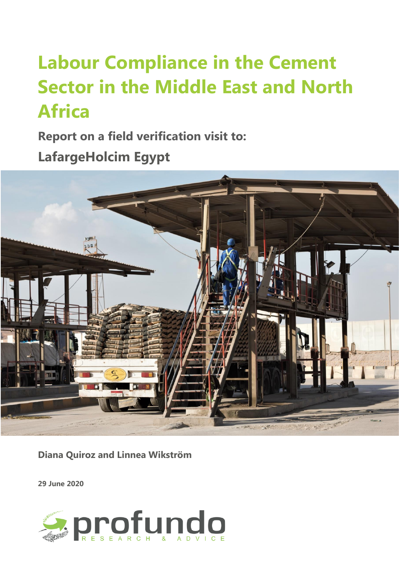# **Labour Compliance in the Cement Sector in the Middle East and North Africa**

**Report on a field verification visit to:** 

**LafargeHolcim Egypt**



**Diana Quiroz and Linnea Wikström**

**29 June 2020**

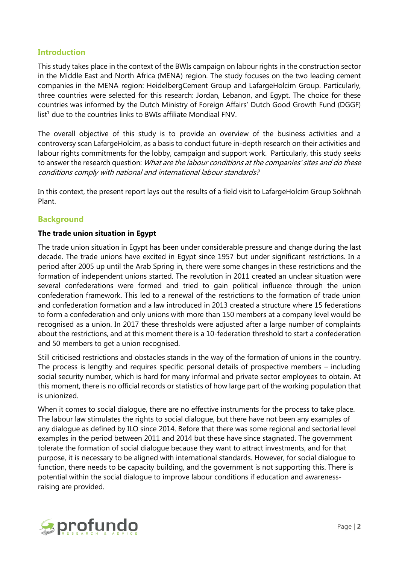#### **Introduction**

This study takes place in the context of the BWIs campaign on labour rights in the construction sector in the Middle East and North Africa (MENA) region. The study focuses on the two leading cement companies in the MENA region: HeidelbergCement Group and LafargeHolcim Group. Particularly, three countries were selected for this research: Jordan, Lebanon, and Egypt. The choice for these countries was informed by the Dutch Ministry of Foreign Affairs' Dutch Good Growth Fund (DGGF)  $list<sup>1</sup>$  due to the countries links to BWIs affiliate Mondiaal FNV.

The overall objective of this study is to provide an overview of the business activities and a controversy scan LafargeHolcim, as a basis to conduct future in-depth research on their activities and labour rights commitments for the lobby, campaign and support work. Particularly, this study seeks to answer the research question: What are the labour conditions at the companies' sites and do these conditions comply with national and international labour standards?

In this context, the present report lays out the results of a field visit to LafargeHolcim Group Sokhnah Plant.

## **Background**

#### **The trade union situation in Egypt**

The trade union situation in Egypt has been under considerable pressure and change during the last decade. The trade unions have excited in Egypt since 1957 but under significant restrictions. In a period after 2005 up until the Arab Spring in, there were some changes in these restrictions and the formation of independent unions started. The revolution in 2011 created an unclear situation were several confederations were formed and tried to gain political influence through the union confederation framework. This led to a renewal of the restrictions to the formation of trade union and confederation formation and a law introduced in 2013 created a structure where 15 federations to form a confederation and only unions with more than 150 members at a company level would be recognised as a union. In 2017 these thresholds were adjusted after a large number of complaints about the restrictions, and at this moment there is a 10-federation threshold to start a confederation and 50 members to get a union recognised.

Still criticised restrictions and obstacles stands in the way of the formation of unions in the country. The process is lengthy and requires specific personal details of prospective members – including social security number, which is hard for many informal and private sector employees to obtain. At this moment, there is no official records or statistics of how large part of the working population that is unionized.

When it comes to social dialogue, there are no effective instruments for the process to take place. The labour law stimulates the rights to social dialogue, but there have not been any examples of any dialogue as defined by ILO since 2014. Before that there was some regional and sectorial level examples in the period between 2011 and 2014 but these have since stagnated. The government tolerate the formation of social dialogue because they want to attract investments, and for that purpose, it is necessary to be aligned with international standards. However, for social dialogue to function, there needs to be capacity building, and the government is not supporting this. There is potential within the social dialogue to improve labour conditions if education and awarenessraising are provided.

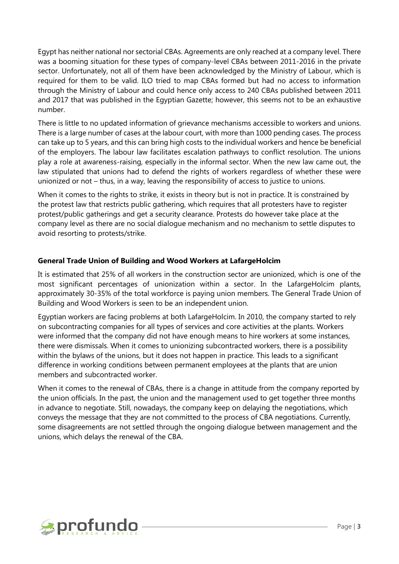Egypt has neither national nor sectorial CBAs. Agreements are only reached at a company level. There was a booming situation for these types of company-level CBAs between 2011-2016 in the private sector. Unfortunately, not all of them have been acknowledged by the Ministry of Labour, which is required for them to be valid. ILO tried to map CBAs formed but had no access to information through the Ministry of Labour and could hence only access to 240 CBAs published between 2011 and 2017 that was published in the Egyptian Gazette; however, this seems not to be an exhaustive number.

There is little to no updated information of grievance mechanisms accessible to workers and unions. There is a large number of cases at the labour court, with more than 1000 pending cases. The process can take up to 5 years, and this can bring high costs to the individual workers and hence be beneficial of the employers. The labour law facilitates escalation pathways to conflict resolution. The unions play a role at awareness-raising, especially in the informal sector. When the new law came out, the law stipulated that unions had to defend the rights of workers regardless of whether these were unionized or not – thus, in a way, leaving the responsibility of access to justice to unions.

When it comes to the rights to strike, it exists in theory but is not in practice. It is constrained by the protest law that restricts public gathering, which requires that all protesters have to register protest/public gatherings and get a security clearance. Protests do however take place at the company level as there are no social dialogue mechanism and no mechanism to settle disputes to avoid resorting to protests/strike.

#### **General Trade Union of Building and Wood Workers at LafargeHolcim**

It is estimated that 25% of all workers in the construction sector are unionized, which is one of the most significant percentages of unionization within a sector. In the LafargeHolcim plants, approximately 30-35% of the total workforce is paying union members. The General Trade Union of Building and Wood Workers is seen to be an independent union.

Egyptian workers are facing problems at both LafargeHolcim. In 2010, the company started to rely on subcontracting companies for all types of services and core activities at the plants. Workers were informed that the company did not have enough means to hire workers at some instances, there were dismissals. When it comes to unionizing subcontracted workers, there is a possibility within the bylaws of the unions, but it does not happen in practice. This leads to a significant difference in working conditions between permanent employees at the plants that are union members and subcontracted worker.

When it comes to the renewal of CBAs, there is a change in attitude from the company reported by the union officials. In the past, the union and the management used to get together three months in advance to negotiate. Still, nowadays, the company keep on delaying the negotiations, which conveys the message that they are not committed to the process of CBA negotiations. Currently, some disagreements are not settled through the ongoing dialogue between management and the unions, which delays the renewal of the CBA.

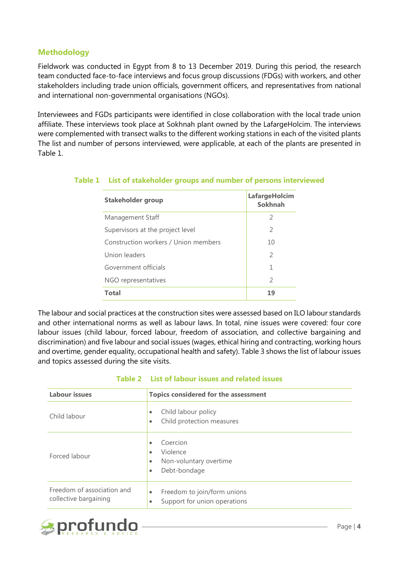## **Methodology**

Fieldwork was conducted in Egypt from 8 to 13 December 2019. During this period, the research team conducted face-to-face interviews and focus group discussions (FDGs) with workers, and other stakeholders including trade union officials, government officers, and representatives from national and international non-governmental organisations (NGOs).

Interviewees and FGDs participants were identified in close collaboration with the local trade union affiliate. These interviews took place at Sokhnah plant owned by the LafargeHolcim. The interviews were complemented with transect walks to the different working stations in each of the visited plants The list and number of persons interviewed, were applicable, at each of the plants are presented in Table 1.

| Stakeholder group                    | LafargeHolcim<br>Sokhnah |
|--------------------------------------|--------------------------|
| Management Staff                     | $\mathcal{P}$            |
| Supervisors at the project level     | $\mathcal{L}$            |
| Construction workers / Union members | 10                       |
| Union leaders                        | $\mathcal{P}$            |
| Government officials                 | 1                        |
| NGO representatives                  | $\mathcal{P}$            |
| <b>Total</b>                         |                          |

#### **Table 1 List of stakeholder groups and number of persons interviewed**

The labour and social practices at the construction sites were assessed based on ILO labour standards and other international norms as well as labour laws. In total, nine issues were covered: four core labour issues (child labour, forced labour, freedom of association, and collective bargaining and discrimination) and five labour and social issues (wages, ethical hiring and contracting, working hours and overtime, gender equality, occupational health and safety). Table 3 shows the list of labour issues and topics assessed during the site visits.

| <b>Labour issues</b>                                | <b>Topics considered for the assessment</b>                                                                        |
|-----------------------------------------------------|--------------------------------------------------------------------------------------------------------------------|
| Child labour                                        | Child labour policy<br>$\bullet$<br>Child protection measures<br>$\bullet$                                         |
| Forced labour                                       | Coercion<br>$\bullet$<br>Violence<br>$\bullet$<br>Non-voluntary overtime<br>$\bullet$<br>Debt-bondage<br>$\bullet$ |
| Freedom of association and<br>collective bargaining | Freedom to join/form unions<br>$\bullet$<br>Support for union operations<br>$\bullet$                              |

#### **Table 2 List of labour issues and related issues**

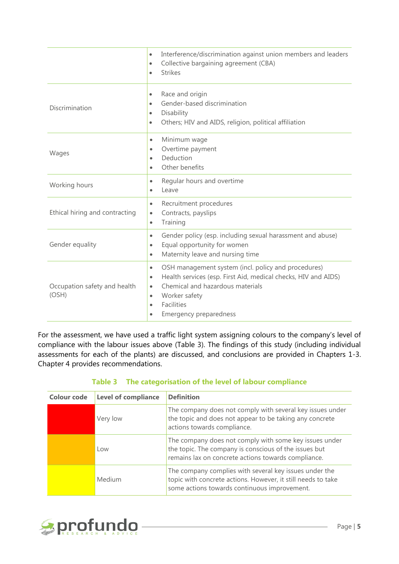|                                       | Interference/discrimination against union members and leaders<br>$\bullet$<br>Collective bargaining agreement (CBA)<br>$\bullet$<br><b>Strikes</b><br>$\bullet$                                                                                                                                         |
|---------------------------------------|---------------------------------------------------------------------------------------------------------------------------------------------------------------------------------------------------------------------------------------------------------------------------------------------------------|
| Discrimination                        | Race and origin<br>$\bullet$<br>Gender-based discrimination<br>$\bullet$<br>Disability<br>$\bullet$<br>Others; HIV and AIDS, religion, political affiliation<br>$\bullet$                                                                                                                               |
| Wages                                 | Minimum wage<br>$\bullet$<br>Overtime payment<br>$\bullet$<br>Deduction<br>$\bullet$<br>Other benefits<br>$\bullet$                                                                                                                                                                                     |
| Working hours                         | Regular hours and overtime<br>$\bullet$<br>Leave<br>$\bullet$                                                                                                                                                                                                                                           |
| Ethical hiring and contracting        | Recruitment procedures<br>$\bullet$<br>Contracts, payslips<br>$\bullet$<br>Training<br>$\bullet$                                                                                                                                                                                                        |
| Gender equality                       | Gender policy (esp. including sexual harassment and abuse)<br>$\bullet$<br>Equal opportunity for women<br>$\bullet$<br>Maternity leave and nursing time<br>$\bullet$                                                                                                                                    |
| Occupation safety and health<br>(OSH) | OSH management system (incl. policy and procedures)<br>$\bullet$<br>Health services (esp. First Aid, medical checks, HIV and AIDS)<br>$\bullet$<br>Chemical and hazardous materials<br>$\bullet$<br>Worker safety<br>$\bullet$<br><b>Facilities</b><br>$\bullet$<br>Emergency preparedness<br>$\bullet$ |

For the assessment, we have used a traffic light system assigning colours to the company's level of compliance with the labour issues above [\(Table 3\)](#page-4-0). The findings of this study (including individual assessments for each of the plants) are discussed, and conclusions are provided in Chapters 1-3. Chapter 4 provides recommendations.

| Table 3 The categorisation of the level of labour compliance |  |  |
|--------------------------------------------------------------|--|--|
|                                                              |  |  |

<span id="page-4-0"></span>

| <b>Colour code</b> | <b>Level of compliance</b> | <b>Definition</b>                                                                                                                                                      |
|--------------------|----------------------------|------------------------------------------------------------------------------------------------------------------------------------------------------------------------|
|                    | Very low                   | The company does not comply with several key issues under<br>the topic and does not appear to be taking any concrete<br>actions towards compliance.                    |
|                    | Low                        | The company does not comply with some key issues under<br>the topic. The company is conscious of the issues but<br>remains lax on concrete actions towards compliance. |
|                    | Medium                     | The company complies with several key issues under the<br>topic with concrete actions. However, it still needs to take<br>some actions towards continuous improvement. |

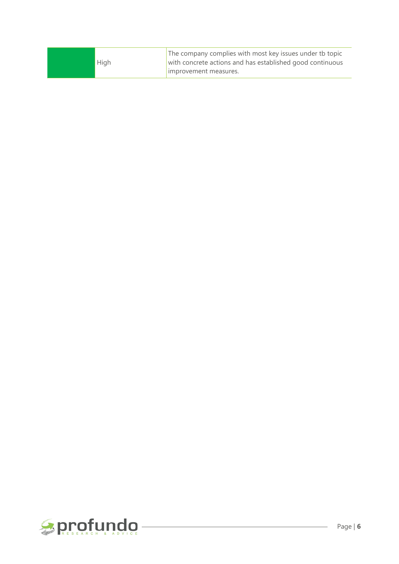| High | The company complies with most key issues under tb topic<br>with concrete actions and has established good continuous<br>limprovement measures. |
|------|-------------------------------------------------------------------------------------------------------------------------------------------------|
|      |                                                                                                                                                 |

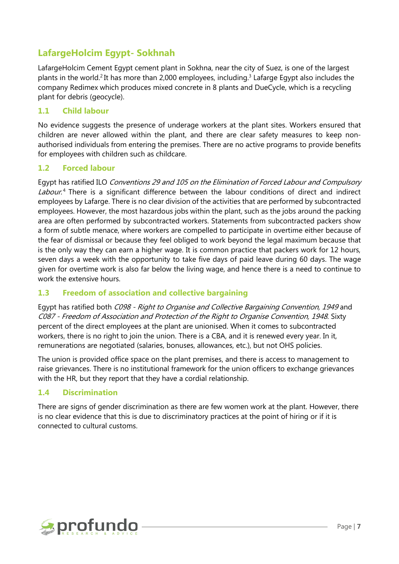## **LafargeHolcim Egypt- Sokhnah**

LafargeHolcim Cement Egypt cement plant in Sokhna, near the city of Suez, is one of the largest plants in the world.<sup>2</sup> It has more than 2,000 employees, including.<sup>3</sup> Lafarge Egypt also includes the company Redimex which produces mixed concrete in 8 plants and DueCycle, which is a recycling plant for debris (geocycle).

### **1.1 Child labour**

No evidence suggests the presence of underage workers at the plant sites. Workers ensured that children are never allowed within the plant, and there are clear safety measures to keep nonauthorised individuals from entering the premises. There are no active programs to provide benefits for employees with children such as childcare.

#### **1.2 Forced labour**

Egypt has ratified ILO Conventions 29 and 105 on the Elimination of Forced Labour and Compulsory Labour.<sup>4</sup> There is a significant difference between the labour conditions of direct and indirect employees by Lafarge. There is no clear division of the activities that are performed by subcontracted employees. However, the most hazardous jobs within the plant, such as the jobs around the packing area are often performed by subcontracted workers. Statements from subcontracted packers show a form of subtle menace, where workers are compelled to participate in overtime either because of the fear of dismissal or because they feel obliged to work beyond the legal maximum because that is the only way they can earn a higher wage. It is common practice that packers work for 12 hours, seven days a week with the opportunity to take five days of paid leave during 60 days. The wage given for overtime work is also far below the living wage, and hence there is a need to continue to work the extensive hours.

## **1.3 Freedom of association and collective bargaining**

Egypt has ratified both C098 - Right to Organise and Collective Bargaining Convention, 1949 and C087 - Freedom of Association and Protection of the Right to Organise Convention, 1948. Sixty percent of the direct employees at the plant are unionised. When it comes to subcontracted workers, there is no right to join the union. There is a CBA, and it is renewed every year. In it, remunerations are negotiated (salaries, bonuses, allowances, etc.), but not OHS policies.

The union is provided office space on the plant premises, and there is access to management to raise grievances. There is no institutional framework for the union officers to exchange grievances with the HR, but they report that they have a cordial relationship.

## **1.4 Discrimination**

There are signs of gender discrimination as there are few women work at the plant. However, there is no clear evidence that this is due to discriminatory practices at the point of hiring or if it is connected to cultural customs.

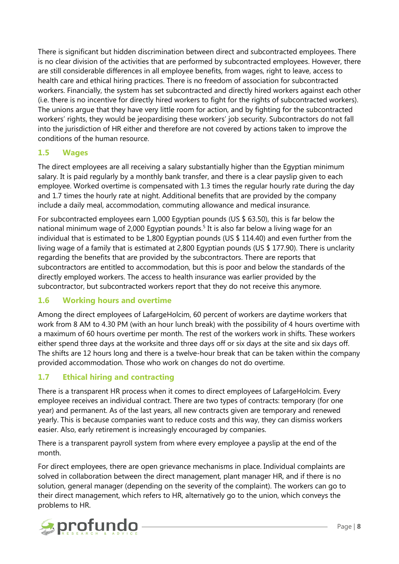There is significant but hidden discrimination between direct and subcontracted employees. There is no clear division of the activities that are performed by subcontracted employees. However, there are still considerable differences in all employee benefits, from wages, right to leave, access to health care and ethical hiring practices. There is no freedom of association for subcontracted workers. Financially, the system has set subcontracted and directly hired workers against each other (i.e. there is no incentive for directly hired workers to fight for the rights of subcontracted workers). The unions argue that they have very little room for action, and by fighting for the subcontracted workers' rights, they would be jeopardising these workers' job security. Subcontractors do not fall into the jurisdiction of HR either and therefore are not covered by actions taken to improve the conditions of the human resource.

## **1.5 Wages**

The direct employees are all receiving a salary substantially higher than the Egyptian minimum salary. It is paid regularly by a monthly bank transfer, and there is a clear payslip given to each employee. Worked overtime is compensated with 1.3 times the regular hourly rate during the day and 1.7 times the hourly rate at night. Additional benefits that are provided by the company include a daily meal, accommodation, commuting allowance and medical insurance.

For subcontracted employees earn 1,000 Egyptian pounds (US \$ 63.50), this is far below the national minimum wage of 2,000 Egyptian pounds.<sup>5</sup> It is also far below a living wage for an individual that is estimated to be 1,800 Egyptian pounds (US \$ 114.40) and even further from the living wage of a family that is estimated at 2,800 Egyptian pounds (US \$ 177.90). There is unclarity regarding the benefits that are provided by the subcontractors. There are reports that subcontractors are entitled to accommodation, but this is poor and below the standards of the directly employed workers. The access to health insurance was earlier provided by the subcontractor, but subcontracted workers report that they do not receive this anymore.

## **1.6 Working hours and overtime**

Among the direct employees of LafargeHolcim, 60 percent of workers are daytime workers that work from 8 AM to 4.30 PM (with an hour lunch break) with the possibility of 4 hours overtime with a maximum of 60 hours overtime per month. The rest of the workers work in shifts. These workers either spend three days at the worksite and three days off or six days at the site and six days off. The shifts are 12 hours long and there is a twelve-hour break that can be taken within the company provided accommodation. Those who work on changes do not do overtime.

## **1.7 Ethical hiring and contracting**

There is a transparent HR process when it comes to direct employees of LafargeHolcim. Every employee receives an individual contract. There are two types of contracts: temporary (for one year) and permanent. As of the last years, all new contracts given are temporary and renewed yearly. This is because companies want to reduce costs and this way, they can dismiss workers easier. Also, early retirement is increasingly encouraged by companies.

There is a transparent payroll system from where every employee a payslip at the end of the month.

For direct employees, there are open grievance mechanisms in place. Individual complaints are solved in collaboration between the direct management, plant manager HR, and if there is no solution, general manager (depending on the severity of the complaint). The workers can go to their direct management, which refers to HR, alternatively go to the union, which conveys the problems to HR.

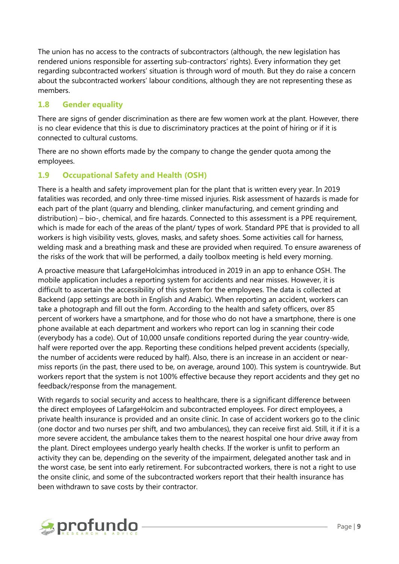The union has no access to the contracts of subcontractors (although, the new legislation has rendered unions responsible for asserting sub-contractors' rights). Every information they get regarding subcontracted workers' situation is through word of mouth. But they do raise a concern about the subcontracted workers' labour conditions, although they are not representing these as members.

## **1.8 Gender equality**

There are signs of gender discrimination as there are few women work at the plant. However, there is no clear evidence that this is due to discriminatory practices at the point of hiring or if it is connected to cultural customs.

There are no shown efforts made by the company to change the gender quota among the employees.

## **1.9 Occupational Safety and Health (OSH)**

There is a health and safety improvement plan for the plant that is written every year. In 2019 fatalities was recorded, and only three-time missed injuries. Risk assessment of hazards is made for each part of the plant (quarry and blending, clinker manufacturing, and cement grinding and distribution) – bio-, chemical, and fire hazards. Connected to this assessment is a PPE requirement, which is made for each of the areas of the plant/ types of work. Standard PPE that is provided to all workers is high visibility vests, gloves, masks, and safety shoes. Some activities call for harness, welding mask and a breathing mask and these are provided when required. To ensure awareness of the risks of the work that will be performed, a daily toolbox meeting is held every morning.

A proactive measure that LafargeHolcimhas introduced in 2019 in an app to enhance OSH. The mobile application includes a reporting system for accidents and near misses. However, it is difficult to ascertain the accessibility of this system for the employees. The data is collected at Backend (app settings are both in English and Arabic). When reporting an accident, workers can take a photograph and fill out the form. According to the health and safety officers, over 85 percent of workers have a smartphone, and for those who do not have a smartphone, there is one phone available at each department and workers who report can log in scanning their code (everybody has a code). Out of 10,000 unsafe conditions reported during the year country-wide, half were reported over the app. Reporting these conditions helped prevent accidents (specially, the number of accidents were reduced by half). Also, there is an increase in an accident or nearmiss reports (in the past, there used to be, on average, around 100). This system is countrywide. But workers report that the system is not 100% effective because they report accidents and they get no feedback/response from the management.

With regards to social security and access to healthcare, there is a significant difference between the direct employees of LafargeHolcim and subcontracted employees. For direct employees, a private health insurance is provided and an onsite clinic. In case of accident workers go to the clinic (one doctor and two nurses per shift, and two ambulances), they can receive first aid. Still, it if it is a more severe accident, the ambulance takes them to the nearest hospital one hour drive away from the plant. Direct employees undergo yearly health checks. If the worker is unfit to perform an activity they can be, depending on the severity of the impairment, delegated another task and in the worst case, be sent into early retirement. For subcontracted workers, there is not a right to use the onsite clinic, and some of the subcontracted workers report that their health insurance has been withdrawn to save costs by their contractor.

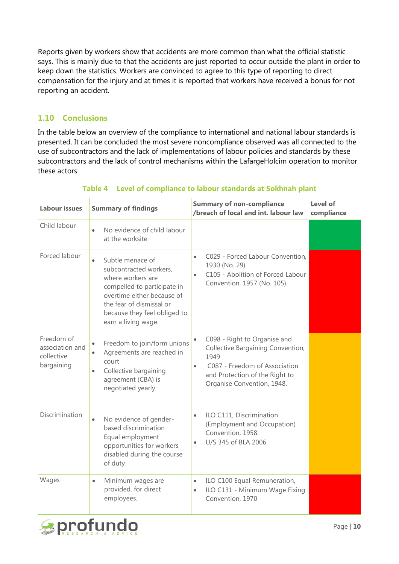Reports given by workers show that accidents are more common than what the official statistic says. This is mainly due to that the accidents are just reported to occur outside the plant in order to keep down the statistics. Workers are convinced to agree to this type of reporting to direct compensation for the injury and at times it is reported that workers have received a bonus for not reporting an accident.

## **1.10 Conclusions**

In the table below an overview of the compliance to international and national labour standards is presented. It can be concluded the most severe noncompliance observed was all connected to the use of subcontractors and the lack of implementations of labour policies and standards by these subcontractors and the lack of control mechanisms within the LafargeHolcim operation to monitor these actors.

| <b>Labour issues</b>                                      | <b>Summary of findings</b>                                                                                                                                                                                                   | <b>Summary of non-compliance</b><br>/breach of local and int. labour law                                                                                                                             | Level of<br>compliance |
|-----------------------------------------------------------|------------------------------------------------------------------------------------------------------------------------------------------------------------------------------------------------------------------------------|------------------------------------------------------------------------------------------------------------------------------------------------------------------------------------------------------|------------------------|
| Child labour                                              | No evidence of child labour<br>$\bullet$<br>at the worksite                                                                                                                                                                  |                                                                                                                                                                                                      |                        |
| Forced labour                                             | Subtle menace of<br>$\bullet$<br>subcontracted workers,<br>where workers are<br>compelled to participate in<br>overtime either because of<br>the fear of dismissal or<br>because they feel obliged to<br>earn a living wage. | C029 - Forced Labour Convention,<br>$\bullet$<br>1930 (No. 29)<br>C105 - Abolition of Forced Labour<br>$\bullet$<br>Convention, 1957 (No. 105)                                                       |                        |
| Freedom of<br>association and<br>collective<br>bargaining | Freedom to join/form unions<br>$\bullet$<br>Agreements are reached in<br>$\bullet$<br>court<br>Collective bargaining<br>$\bullet$<br>agreement (CBA) is<br>negotiated yearly                                                 | C098 - Right to Organise and<br>$\bullet$<br>Collective Bargaining Convention,<br>1949<br>C087 - Freedom of Association<br>$\bullet$<br>and Protection of the Right to<br>Organise Convention, 1948. |                        |
| Discrimination                                            | No evidence of gender-<br>$\bullet$<br>based discrimination<br>Equal employment<br>opportunities for workers<br>disabled during the course<br>of duty                                                                        | ILO C111, Discrimination<br>$\bullet$<br>(Employment and Occupation)<br>Convention, 1958.<br>U/S 345 of BLA 2006.<br>$\bullet$                                                                       |                        |
| Wages                                                     | Minimum wages are<br>$\bullet$<br>provided, for direct<br>employees.                                                                                                                                                         | ILO C100 Equal Remuneration,<br>$\bullet$<br>ILO C131 - Minimum Wage Fixing<br>$\bullet$<br>Convention, 1970                                                                                         |                        |

## **Table 4 Level of compliance to labour standards at Sokhnah plant**

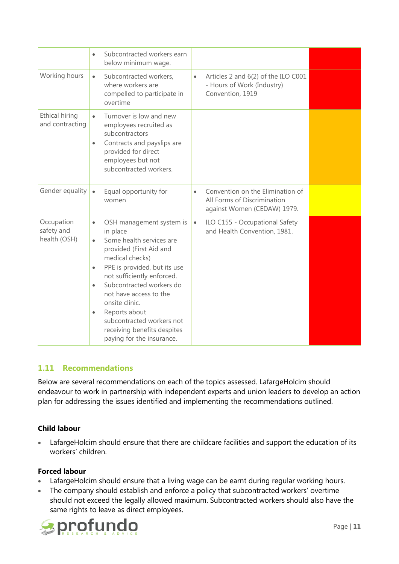|                                          | Subcontracted workers earn<br>$\bullet$<br>below minimum wage.                                                                                                                                                                                                                                                                                                                                                                  |                                                                                                             |  |
|------------------------------------------|---------------------------------------------------------------------------------------------------------------------------------------------------------------------------------------------------------------------------------------------------------------------------------------------------------------------------------------------------------------------------------------------------------------------------------|-------------------------------------------------------------------------------------------------------------|--|
| Working hours                            | Subcontracted workers,<br>$\bullet$<br>where workers are<br>compelled to participate in<br>overtime                                                                                                                                                                                                                                                                                                                             | Articles 2 and 6(2) of the ILO C001<br>$\bullet$<br>- Hours of Work (Industry)<br>Convention, 1919          |  |
| Ethical hiring<br>and contracting        | Turnover is low and new<br>$\bullet$<br>employees recruited as<br>subcontractors<br>Contracts and payslips are<br>$\bullet$<br>provided for direct<br>employees but not<br>subcontracted workers.                                                                                                                                                                                                                               |                                                                                                             |  |
| Gender equality                          | Equal opportunity for<br>$\bullet$<br>women                                                                                                                                                                                                                                                                                                                                                                                     | Convention on the Elimination of<br>$\bullet$<br>All Forms of Discrimination<br>against Women (CEDAW) 1979. |  |
| Occupation<br>safety and<br>health (OSH) | OSH management system is<br>$\bullet$<br>in place<br>Some health services are<br>$\bullet$<br>provided (First Aid and<br>medical checks)<br>PPE is provided, but its use<br>$\bullet$<br>not sufficiently enforced.<br>Subcontracted workers do<br>$\bullet$<br>not have access to the<br>onsite clinic.<br>Reports about<br>$\bullet$<br>subcontracted workers not<br>receiving benefits despites<br>paying for the insurance. | ILO C155 - Occupational Safety<br>$\bullet$<br>and Health Convention, 1981.                                 |  |

## **1.11 Recommendations**

Below are several recommendations on each of the topics assessed. LafargeHolcim should endeavour to work in partnership with independent experts and union leaders to develop an action plan for addressing the issues identified and implementing the recommendations outlined.

## **Child labour**

• LafargeHolcim should ensure that there are childcare facilities and support the education of its workers' children.

#### **Forced labour**

- LafargeHolcim should ensure that a living wage can be earnt during regular working hours.
- The company should establish and enforce a policy that subcontracted workers' overtime should not exceed the legally allowed maximum. Subcontracted workers should also have the same rights to leave as direct employees.

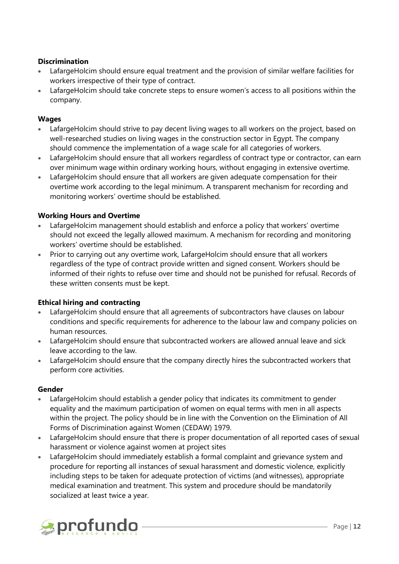#### **Discrimination**

- LafargeHolcim should ensure equal treatment and the provision of similar welfare facilities for workers irrespective of their type of contract.
- LafargeHolcim should take concrete steps to ensure women's access to all positions within the company.

#### **Wages**

- LafargeHolcim should strive to pay decent living wages to all workers on the project, based on well-researched studies on living wages in the construction sector in Egypt. The company should commence the implementation of a wage scale for all categories of workers.
- LafargeHolcim should ensure that all workers regardless of contract type or contractor, can earn over minimum wage within ordinary working hours, without engaging in extensive overtime.
- LafargeHolcim should ensure that all workers are given adequate compensation for their overtime work according to the legal minimum. A transparent mechanism for recording and monitoring workers' overtime should be established.

#### **Working Hours and Overtime**

- LafargeHolcim management should establish and enforce a policy that workers' overtime should not exceed the legally allowed maximum. A mechanism for recording and monitoring workers' overtime should be established.
- Prior to carrying out any overtime work, LafargeHolcim should ensure that all workers regardless of the type of contract provide written and signed consent. Workers should be informed of their rights to refuse over time and should not be punished for refusal. Records of these written consents must be kept.

#### **Ethical hiring and contracting**

- LafargeHolcim should ensure that all agreements of subcontractors have clauses on labour conditions and specific requirements for adherence to the labour law and company policies on human resources.
- LafargeHolcim should ensure that subcontracted workers are allowed annual leave and sick leave according to the law.
- LafargeHolcim should ensure that the company directly hires the subcontracted workers that perform core activities.

#### **Gender**

- LafargeHolcim should establish a gender policy that indicates its commitment to gender equality and the maximum participation of women on equal terms with men in all aspects within the project. The policy should be in line with the Convention on the Elimination of All Forms of Discrimination against Women (CEDAW) 1979.
- LafargeHolcim should ensure that there is proper documentation of all reported cases of sexual harassment or violence against women at project sites
- LafargeHolcim should immediately establish a formal complaint and grievance system and procedure for reporting all instances of sexual harassment and domestic violence, explicitly including steps to be taken for adequate protection of victims (and witnesses), appropriate medical examination and treatment. This system and procedure should be mandatorily socialized at least twice a year.

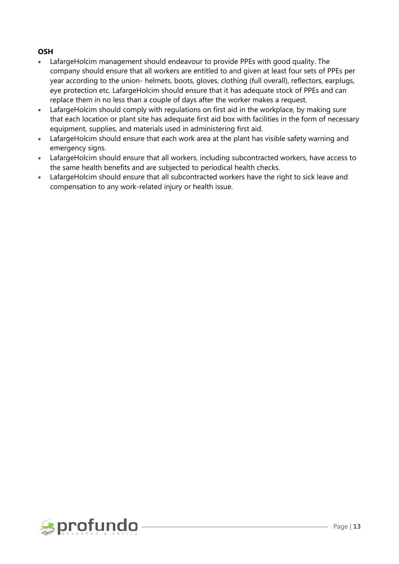#### **OSH**

- LafargeHolcim management should endeavour to provide PPEs with good quality. The company should ensure that all workers are entitled to and given at least four sets of PPEs per year according to the union- helmets, boots, gloves, clothing (full overall), reflectors, earplugs, eye protection etc. LafargeHolcim should ensure that it has adequate stock of PPEs and can replace them in no less than a couple of days after the worker makes a request.
- LafargeHolcim should comply with regulations on first aid in the workplace, by making sure that each location or plant site has adequate first aid box with facilities in the form of necessary equipment, supplies, and materials used in administering first aid.
- LafargeHolcim should ensure that each work area at the plant has visible safety warning and emergency signs.
- LafargeHolcim should ensure that all workers, including subcontracted workers, have access to the same health benefits and are subjected to periodical health checks.
- LafargeHolcim should ensure that all subcontracted workers have the right to sick leave and compensation to any work-related injury or health issue.

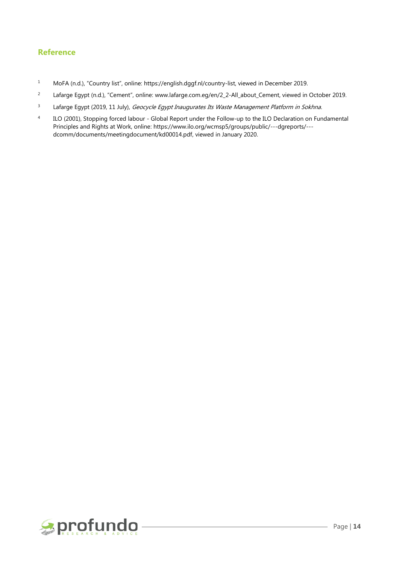#### **Reference**

- <sup>1</sup> MoFA (n.d.), "Country list", online: [https://english.dggf.nl/country-list,](https://english.dggf.nl/country-list) viewed in December 2019.
- <sup>2</sup> Lafarge Egypt (n.d.), "Cement", online: [www.lafarge.com.eg/en/2\\_2-All\\_about\\_Cement,](http://www.lafarge.com.eg/en/2_2-All_about_Cement) viewed in October 2019.
- <sup>3</sup> Lafarge Egypt (2019, 11 July), *Geocycle Egypt Inaugurates Its Waste Management Platform in Sokhna.*
- 4 ILO (2001), Stopping forced labour - Global Report under the Follow-up to the ILO Declaration on Fundamental Principles and Rights at Work, online: [https://www.ilo.org/wcmsp5/groups/public/---dgreports/--](https://www.ilo.org/wcmsp5/groups/public/---dgreports/---dcomm/documents/meetingdocument/kd00014.pdf) [dcomm/documents/meetingdocument/kd00014.pdf,](https://www.ilo.org/wcmsp5/groups/public/---dgreports/---dcomm/documents/meetingdocument/kd00014.pdf) viewed in January 2020.